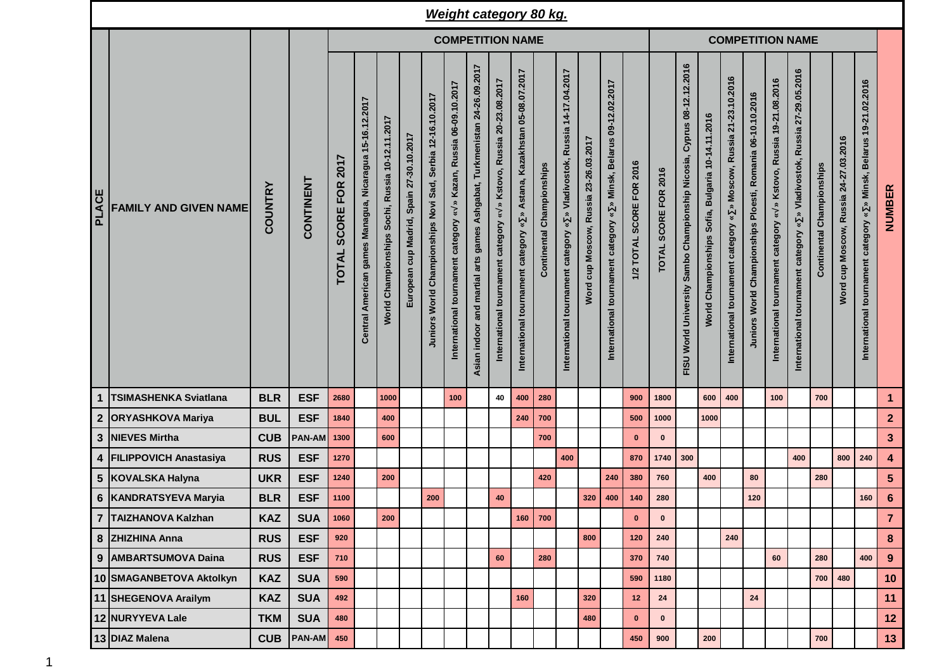|       |                              |                |            |                                                    |                                                         |                                                 |                                          |                                                            |                                                                      |                                                                             |                                                                                                             | <b>Weight category 80 kg.</b>                                                                   |                              |                                                                                                                            |                                  |                                                                                                                       |                          |                         |                                                                                       |                                                                   |                                                                                                    |                                                            |                                                                                            |                                                                            |                                  |                                       |                                                                       |                         |  |  |
|-------|------------------------------|----------------|------------|----------------------------------------------------|---------------------------------------------------------|-------------------------------------------------|------------------------------------------|------------------------------------------------------------|----------------------------------------------------------------------|-----------------------------------------------------------------------------|-------------------------------------------------------------------------------------------------------------|-------------------------------------------------------------------------------------------------|------------------------------|----------------------------------------------------------------------------------------------------------------------------|----------------------------------|-----------------------------------------------------------------------------------------------------------------------|--------------------------|-------------------------|---------------------------------------------------------------------------------------|-------------------------------------------------------------------|----------------------------------------------------------------------------------------------------|------------------------------------------------------------|--------------------------------------------------------------------------------------------|----------------------------------------------------------------------------|----------------------------------|---------------------------------------|-----------------------------------------------------------------------|-------------------------|--|--|
|       |                              |                |            | <b>COMPETITION NAME</b>                            |                                                         |                                                 |                                          |                                                            |                                                                      |                                                                             |                                                                                                             |                                                                                                 |                              |                                                                                                                            |                                  |                                                                                                                       |                          | <b>COMPETITION NAME</b> |                                                                                       |                                                                   |                                                                                                    |                                                            |                                                                                            |                                                                            |                                  |                                       |                                                                       |                         |  |  |
| PLACE | <b>FAMILY AND GIVEN NAME</b> | <b>COUNTRY</b> | CONTINENT  | 2017<br><b>FOR</b><br><b>SCORE</b><br><b>TOTAL</b> | Central American games Managua, Nicaragua 15-16.12.2017 | World Championships Sochi, Russia 10-12.11.2017 | European cup Madrid, Spain 27-30.10.2017 | Juniors World Championships Novi Sad, Serbia 12-16.10.2017 | » Kazan, Russia 06-09.10.2017<br>International tournament category « | Ashgabat, Turkmenistan 24-26.09.2017<br>Asian indoor and martial arts games | Kstovo, Russia 20-23.08.2017<br>$\hat{\mathbf{z}}$<br>$\,\mathbf{x}\,$<br>International tournament category | Astana, Kazakhstan 05-08.07.2017<br>$\boldsymbol{\ast}$<br>category<br>International tournament | Championships<br>Continental | Russia 14-17.04.2017<br>Vladivostok,<br>$\hat{\mathbf{z}}$<br>$\check{\mathbf{z}}$<br>category<br>International tournament | cup Moscow, Russia 23-26.03.2017 | 09-12.02.2017<br><b>Belarus</b><br>Minsk,<br>$\hat{z}$<br>$\boldsymbol{\ast}$<br>tournament category<br>International | 1/2 TOTAL SCORE FOR 2016 | TOTAL SCORE FOR 2016    | 08-12.12.2016<br>Cyprus<br>Championship Nicosia,<br>Sambo<br>World University<br>FISU | Bulgaria 10-14.11.2016<br>Sofia,<br>Championships<br><b>World</b> | 21-23.10.2016<br>Moscow, Russia<br>$\hat{\mathbf{z}}$<br>¥<br>category<br>International tournament | Juniors World Championships Ploesti, Romania 06-10.10.2016 | » Kstovo, Russia 19-21.08.2016<br>$\boldsymbol{\ast}$<br>International tournament category | » Vladivostok, Russia 27-29.05.2016<br>International tournament category « | <b>Continental Championships</b> | Word cup Moscow, Russia 24-27.03.2016 | » Minsk, Belarus 19-21.02.2016<br>International tournament category « | NUMBER                  |  |  |
| 1     | <b>TSIMASHENKA Sviatlana</b> | <b>BLR</b>     | <b>ESF</b> | 2680                                               |                                                         | 1000                                            |                                          |                                                            | 100                                                                  |                                                                             | 40                                                                                                          | 400                                                                                             | 280                          |                                                                                                                            |                                  |                                                                                                                       | 900                      | 1800                    |                                                                                       | 600                                                               | 400                                                                                                |                                                            | 100                                                                                        |                                                                            | 700                              |                                       |                                                                       | $\mathbf{1}$            |  |  |
|       | 2 ORYASHKOVA Mariya          | <b>BUL</b>     | <b>ESF</b> | 1840                                               |                                                         | 400                                             |                                          |                                                            |                                                                      |                                                                             |                                                                                                             | 240                                                                                             | 700                          |                                                                                                                            |                                  |                                                                                                                       | 500                      | 1000                    |                                                                                       | 1000                                                              |                                                                                                    |                                                            |                                                                                            |                                                                            |                                  |                                       |                                                                       | $\overline{2}$          |  |  |
| 3     | <b>NIEVES Mirtha</b>         | <b>CUB</b>     | PAN-AM     | 1300                                               |                                                         | 600                                             |                                          |                                                            |                                                                      |                                                                             |                                                                                                             |                                                                                                 | 700                          |                                                                                                                            |                                  |                                                                                                                       | $\mathbf{0}$             | $\bf{0}$                |                                                                                       |                                                                   |                                                                                                    |                                                            |                                                                                            |                                                                            |                                  |                                       |                                                                       | $\mathbf{3}$            |  |  |
|       | 4 FILIPPOVICH Anastasiya     | <b>RUS</b>     | <b>ESF</b> | 1270                                               |                                                         |                                                 |                                          |                                                            |                                                                      |                                                                             |                                                                                                             |                                                                                                 |                              | 400                                                                                                                        |                                  |                                                                                                                       | 870                      | 1740                    | 300                                                                                   |                                                                   |                                                                                                    |                                                            |                                                                                            | 400                                                                        |                                  | 800                                   | 240                                                                   | $\overline{\mathbf{4}}$ |  |  |
|       | 5 KOVALSKA Halyna            | <b>UKR</b>     | <b>ESF</b> | 1240                                               |                                                         | 200                                             |                                          |                                                            |                                                                      |                                                                             |                                                                                                             |                                                                                                 | 420                          |                                                                                                                            |                                  | 240                                                                                                                   | 380                      | 760                     |                                                                                       | 400                                                               |                                                                                                    | 80                                                         |                                                                                            |                                                                            | 280                              |                                       |                                                                       | $5\phantom{.0}$         |  |  |
|       | 6   KANDRATSYEVA Maryia      | <b>BLR</b>     | <b>ESF</b> | 1100                                               |                                                         |                                                 |                                          | 200                                                        |                                                                      |                                                                             | 40                                                                                                          |                                                                                                 |                              |                                                                                                                            | 320                              | 400                                                                                                                   | 140                      | 280                     |                                                                                       |                                                                   |                                                                                                    | 120                                                        |                                                                                            |                                                                            |                                  |                                       | 160                                                                   | $6\phantom{1}6$         |  |  |
|       | 7 TAIZHANOVA Kalzhan         | <b>KAZ</b>     | <b>SUA</b> | 1060                                               |                                                         | 200                                             |                                          |                                                            |                                                                      |                                                                             |                                                                                                             |                                                                                                 | 160 700                      |                                                                                                                            |                                  |                                                                                                                       | $\mathbf 0$              | 0                       |                                                                                       |                                                                   |                                                                                                    |                                                            |                                                                                            |                                                                            |                                  |                                       |                                                                       | $\overline{7}$          |  |  |
|       | 8 ZHIZHINA Anna              | <b>RUS</b>     | <b>ESF</b> | 920                                                |                                                         |                                                 |                                          |                                                            |                                                                      |                                                                             |                                                                                                             |                                                                                                 |                              |                                                                                                                            | 800                              |                                                                                                                       | 120                      | 240                     |                                                                                       |                                                                   | 240                                                                                                |                                                            |                                                                                            |                                                                            |                                  |                                       |                                                                       | 8                       |  |  |
|       | 9   AMBARTSUMOVA Daina       | <b>RUS</b>     | <b>ESF</b> | 710                                                |                                                         |                                                 |                                          |                                                            |                                                                      |                                                                             | 60                                                                                                          |                                                                                                 | 280                          |                                                                                                                            |                                  |                                                                                                                       | 370                      | 740                     |                                                                                       |                                                                   |                                                                                                    |                                                            | 60                                                                                         |                                                                            | 280                              |                                       | 400                                                                   | 9                       |  |  |
|       | 10 SMAGANBETOVA Aktolkyn     | <b>KAZ</b>     | <b>SUA</b> | 590                                                |                                                         |                                                 |                                          |                                                            |                                                                      |                                                                             |                                                                                                             |                                                                                                 |                              |                                                                                                                            |                                  |                                                                                                                       | 590                      | 1180                    |                                                                                       |                                                                   |                                                                                                    |                                                            |                                                                                            |                                                                            | 700                              | 480                                   |                                                                       | 10                      |  |  |
|       | 11 SHEGENOVA Arailym         | <b>KAZ</b>     | <b>SUA</b> | 492                                                |                                                         |                                                 |                                          |                                                            |                                                                      |                                                                             |                                                                                                             | 160                                                                                             |                              |                                                                                                                            | 320                              |                                                                                                                       | 12                       | ${\bf 24}$              |                                                                                       |                                                                   |                                                                                                    | 24                                                         |                                                                                            |                                                                            |                                  |                                       |                                                                       | 11                      |  |  |
|       | 12 NURYYEVA Lale             | <b>TKM</b>     | <b>SUA</b> | 480                                                |                                                         |                                                 |                                          |                                                            |                                                                      |                                                                             |                                                                                                             |                                                                                                 |                              |                                                                                                                            | 480                              |                                                                                                                       | $\mathbf 0$              | $\bf{0}$                |                                                                                       |                                                                   |                                                                                                    |                                                            |                                                                                            |                                                                            |                                  |                                       |                                                                       | 12                      |  |  |
|       | 13 DIAZ Malena               | <b>CUB</b>     | PAN-AM     | 450                                                |                                                         |                                                 |                                          |                                                            |                                                                      |                                                                             |                                                                                                             |                                                                                                 |                              |                                                                                                                            |                                  |                                                                                                                       | 450                      | 900                     |                                                                                       | 200                                                               |                                                                                                    |                                                            |                                                                                            |                                                                            | 700                              |                                       |                                                                       | 13                      |  |  |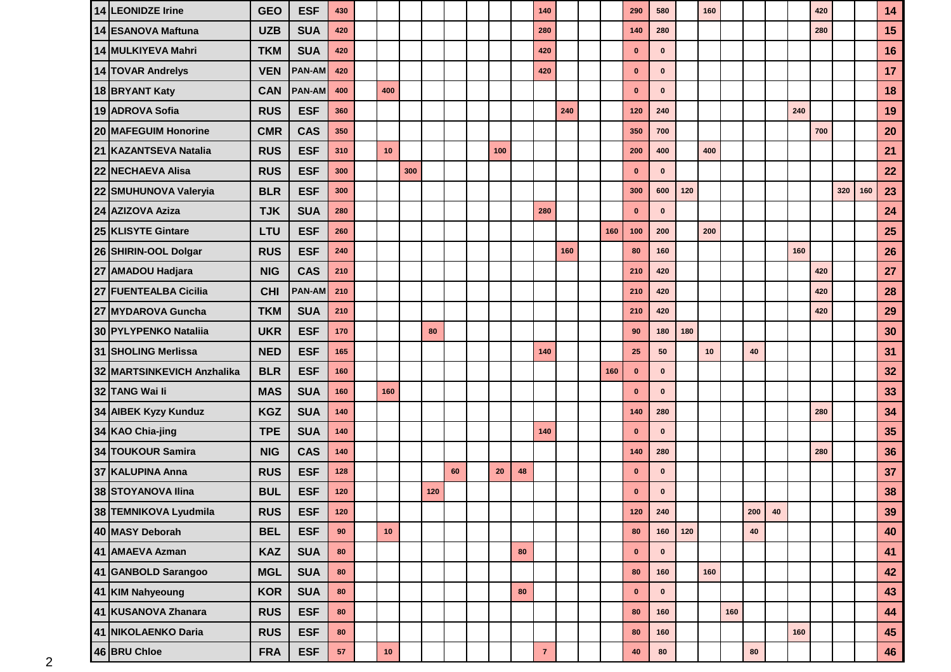| 14 LEONIDZE Irine          | <b>GEO</b> | <b>ESF</b>    | 430        |      |     |     |    |     |    | 140          |     |     | 290          | 580          |     | 160 |     |            |            |     | 420 |     |     | 14 |
|----------------------------|------------|---------------|------------|------|-----|-----|----|-----|----|--------------|-----|-----|--------------|--------------|-----|-----|-----|------------|------------|-----|-----|-----|-----|----|
| 14 ESANOVA Maftuna         | <b>UZB</b> | <b>SUA</b>    | 420        |      |     |     |    |     |    | 280          |     |     | 140          | 280          |     |     |     |            |            |     | 280 |     |     | 15 |
| 14 MULKIYEVA Mahri         | <b>TKM</b> | <b>SUA</b>    | 420        |      |     |     |    |     |    | 420          |     |     | $\mathbf 0$  | $\bf{0}$     |     |     |     |            |            |     |     |     |     | 16 |
| 14 TOVAR Andrelys          | <b>VEN</b> | <b>PAN-AM</b> | 420        |      |     |     |    |     |    | 420          |     |     | $\mathbf 0$  | $\bf{0}$     |     |     |     |            |            |     |     |     |     | 17 |
| 18 BRYANT Katy             | <b>CAN</b> | <b>PAN-AM</b> | 400        | 400  |     |     |    |     |    |              |     |     | $\bf{0}$     | $\mathbf{0}$ |     |     |     |            |            |     |     |     |     | 18 |
| 19 ADROVA Sofia            | <b>RUS</b> | <b>ESF</b>    | 360        |      |     |     |    |     |    |              | 240 |     | 120          | 240          |     |     |     |            |            | 240 |     |     |     | 19 |
| 20 MAFEGUIM Honorine       | <b>CMR</b> | <b>CAS</b>    | 350        |      |     |     |    |     |    |              |     |     | 350          | 700          |     |     |     |            |            |     | 700 |     |     | 20 |
| 21 KAZANTSEVA Natalia      | <b>RUS</b> | <b>ESF</b>    | 310        | 10   |     |     |    | 100 |    |              |     |     | 200          | 400          |     | 400 |     |            |            |     |     |     |     | 21 |
| 22 NECHAEVA Alisa          | <b>RUS</b> | <b>ESF</b>    | 300        |      | 300 |     |    |     |    |              |     |     | $\mathbf{0}$ | $\bf{0}$     |     |     |     |            |            |     |     |     |     | 22 |
| 22 SMUHUNOVA Valeryia      | <b>BLR</b> | <b>ESF</b>    | 300        |      |     |     |    |     |    |              |     |     | 300          | 600          | 120 |     |     |            |            |     |     | 320 | 160 | 23 |
| 24 AZIZOVA Aziza           | <b>TJK</b> | <b>SUA</b>    | 280        |      |     |     |    |     |    | 280          |     |     | $\mathbf 0$  | $\mathbf 0$  |     |     |     |            |            |     |     |     |     | 24 |
| 25 KLISYTE Gintare         | LTU        | <b>ESF</b>    | 260        |      |     |     |    |     |    |              |     | 160 | 100          | 200          |     | 200 |     |            |            |     |     |     |     | 25 |
| 26 SHIRIN-OOL Dolgar       | <b>RUS</b> | <b>ESF</b>    | 240        |      |     |     |    |     |    |              | 160 |     | 80           | 160          |     |     |     |            |            | 160 |     |     |     | 26 |
| 27 AMADOU Hadjara          | <b>NIG</b> | <b>CAS</b>    | 210        |      |     |     |    |     |    |              |     |     | 210          | 420          |     |     |     |            |            |     | 420 |     |     | 27 |
| 27 FUENTEALBA Cicilia      | <b>CHI</b> | <b>PAN-AM</b> | 210        |      |     |     |    |     |    |              |     |     | 210          | 420          |     |     |     |            |            |     | 420 |     |     | 28 |
| 27 MYDAROVA Guncha         | <b>TKM</b> | <b>SUA</b>    | 210        |      |     |     |    |     |    |              |     |     | 210          | 420          |     |     |     |            |            |     | 420 |     |     | 29 |
| 30 PYLYPENKO Nataliia      | <b>UKR</b> | <b>ESF</b>    | 170        |      |     | 80  |    |     |    |              |     |     | 90           | 180          | 180 |     |     |            |            |     |     |     |     | 30 |
| 31 SHOLING Merlissa        | <b>NED</b> | <b>ESF</b>    | 165        |      |     |     |    |     |    | 140          |     |     | 25           | 50           |     | 10  |     | 40         |            |     |     |     |     | 31 |
| 32 MARTSINKEVICH Anzhalika | <b>BLR</b> | <b>ESF</b>    | 160        |      |     |     |    |     |    |              |     | 160 | $\bf{0}$     | $\mathbf{0}$ |     |     |     |            |            |     |     |     |     | 32 |
| 32 TANG Wai li             | <b>MAS</b> | <b>SUA</b>    | 160        | 160  |     |     |    |     |    |              |     |     | $\bf{0}$     | $\mathbf{0}$ |     |     |     |            |            |     |     |     |     | 33 |
| 34 AIBEK Kyzy Kunduz       | <b>KGZ</b> | <b>SUA</b>    | 140        |      |     |     |    |     |    |              |     |     | 140          | 280          |     |     |     |            |            |     | 280 |     |     | 34 |
| 34 KAO Chia-jing           | <b>TPE</b> | <b>SUA</b>    | 140        |      |     |     |    |     |    | 140          |     |     | $\mathbf{0}$ | $\mathbf{0}$ |     |     |     |            |            |     |     |     |     | 35 |
| 34 TOUKOUR Samira          | <b>NIG</b> | <b>CAS</b>    | 140        |      |     |     |    |     |    |              |     |     | 140          | 280          |     |     |     |            |            |     | 280 |     |     | 36 |
| 37 KALUPINA Anna           | <b>RUS</b> | <b>ESF</b>    | 128        |      |     |     | 60 | 20  | 48 |              |     |     | $\bf{0}$     | $\mathbf{0}$ |     |     |     |            |            |     |     |     |     | 37 |
| 38 STOYANOVA Ilina         | <b>BUL</b> | <b>ESF</b>    | 120        |      |     | 120 |    |     |    |              |     |     | $\bf{0}$     | $\bf{0}$     |     |     |     |            |            |     |     |     |     | 38 |
| 38 TEMNIKOVA Lyudmila      | <b>RUS</b> | <b>ESF</b>    | 120        |      |     |     |    |     |    |              |     |     | $120$        | 240          |     |     |     | 200        | ${\bf 40}$ |     |     |     |     | 39 |
| 40 MASY Deborah            | <b>BEL</b> | <b>ESF</b>    | 90         | 10   |     |     |    |     |    |              |     |     | 80           | 160          | 120 |     |     | 40         |            |     |     |     |     | 40 |
| 41 AMAEVA Azman            | <b>KAZ</b> | <b>SUA</b>    | 80         |      |     |     |    |     | 80 |              |     |     | $\mathbf 0$  | $\mathbf 0$  |     |     |     |            |            |     |     |     |     | 41 |
| 41 GANBOLD Sarangoo        | <b>MGL</b> | <b>SUA</b>    | 80         |      |     |     |    |     |    |              |     |     | 80           | 160          |     | 160 |     |            |            |     |     |     |     | 42 |
| 41 KIM Nahyeoung           | <b>KOR</b> | <b>SUA</b>    | 80         |      |     |     |    |     | 80 |              |     |     | $\mathbf 0$  | $\mathbf 0$  |     |     |     |            |            |     |     |     |     | 43 |
| 41 KUSANOVA Zhanara        | <b>RUS</b> | <b>ESF</b>    | 80         |      |     |     |    |     |    |              |     |     | 80           | 160          |     |     | 160 |            |            |     |     |     |     | 44 |
| 41 NIKOLAENKO Daria        | <b>RUS</b> | <b>ESF</b>    | 80         |      |     |     |    |     |    |              |     |     | ${\bf 80}$   | 160          |     |     |     |            |            | 160 |     |     |     | 45 |
| 46 BRU Chloe               | <b>FRA</b> | <b>ESF</b>    | ${\bf 57}$ | $10$ |     |     |    |     |    | $\mathbf{7}$ |     |     | 40           | ${\bf 80}$   |     |     |     | ${\bf 80}$ |            |     |     |     |     | 46 |